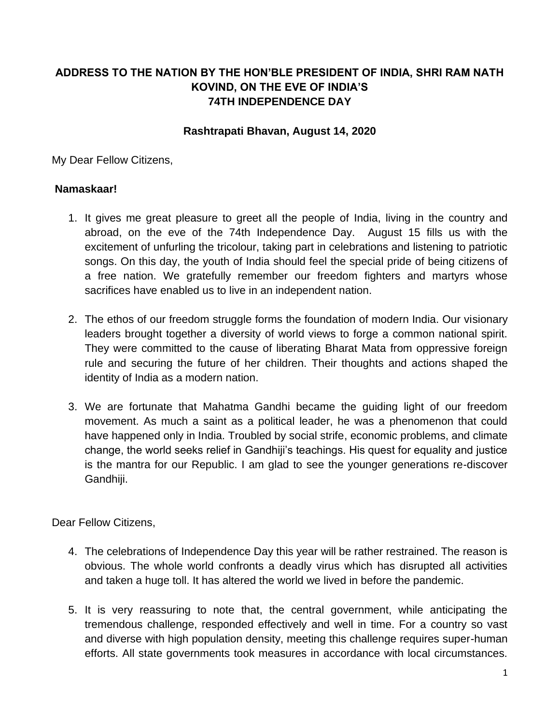## **ADDRESS TO THE NATION BY THE HON'BLE PRESIDENT OF INDIA, SHRI RAM NATH KOVIND, ON THE EVE OF INDIA'S 74TH INDEPENDENCE DAY**

## **Rashtrapati Bhavan, August 14, 2020**

My Dear Fellow Citizens,

## **Namaskaar!**

- 1. It gives me great pleasure to greet all the people of India, living in the country and abroad, on the eve of the 74th Independence Day. August 15 fills us with the excitement of unfurling the tricolour, taking part in celebrations and listening to patriotic songs. On this day, the youth of India should feel the special pride of being citizens of a free nation. We gratefully remember our freedom fighters and martyrs whose sacrifices have enabled us to live in an independent nation.
- 2. The ethos of our freedom struggle forms the foundation of modern India. Our visionary leaders brought together a diversity of world views to forge a common national spirit. They were committed to the cause of liberating Bharat Mata from oppressive foreign rule and securing the future of her children. Their thoughts and actions shaped the identity of India as a modern nation.
- 3. We are fortunate that Mahatma Gandhi became the guiding light of our freedom movement. As much a saint as a political leader, he was a phenomenon that could have happened only in India. Troubled by social strife, economic problems, and climate change, the world seeks relief in Gandhiji's teachings. His quest for equality and justice is the mantra for our Republic. I am glad to see the younger generations re-discover Gandhiji.

Dear Fellow Citizens,

- 4. The celebrations of Independence Day this year will be rather restrained. The reason is obvious. The whole world confronts a deadly virus which has disrupted all activities and taken a huge toll. It has altered the world we lived in before the pandemic.
- 5. It is very reassuring to note that, the central government, while anticipating the tremendous challenge, responded effectively and well in time. For a country so vast and diverse with high population density, meeting this challenge requires super-human efforts. All state governments took measures in accordance with local circumstances.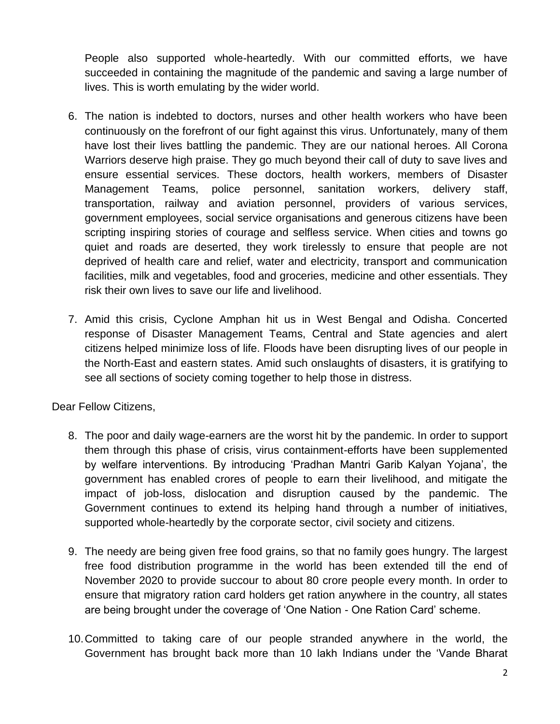People also supported whole-heartedly. With our committed efforts, we have succeeded in containing the magnitude of the pandemic and saving a large number of lives. This is worth emulating by the wider world.

- 6. The nation is indebted to doctors, nurses and other health workers who have been continuously on the forefront of our fight against this virus. Unfortunately, many of them have lost their lives battling the pandemic. They are our national heroes. All Corona Warriors deserve high praise. They go much beyond their call of duty to save lives and ensure essential services. These doctors, health workers, members of Disaster Management Teams, police personnel, sanitation workers, delivery staff, transportation, railway and aviation personnel, providers of various services, government employees, social service organisations and generous citizens have been scripting inspiring stories of courage and selfless service. When cities and towns go quiet and roads are deserted, they work tirelessly to ensure that people are not deprived of health care and relief, water and electricity, transport and communication facilities, milk and vegetables, food and groceries, medicine and other essentials. They risk their own lives to save our life and livelihood.
- 7. Amid this crisis, Cyclone Amphan hit us in West Bengal and Odisha. Concerted response of Disaster Management Teams, Central and State agencies and alert citizens helped minimize loss of life. Floods have been disrupting lives of our people in the North-East and eastern states. Amid such onslaughts of disasters, it is gratifying to see all sections of society coming together to help those in distress.

Dear Fellow Citizens,

- 8. The poor and daily wage-earners are the worst hit by the pandemic. In order to support them through this phase of crisis, virus containment-efforts have been supplemented by welfare interventions. By introducing 'Pradhan Mantri Garib Kalyan Yojana', the government has enabled crores of people to earn their livelihood, and mitigate the impact of job-loss, dislocation and disruption caused by the pandemic. The Government continues to extend its helping hand through a number of initiatives, supported whole-heartedly by the corporate sector, civil society and citizens.
- 9. The needy are being given free food grains, so that no family goes hungry. The largest free food distribution programme in the world has been extended till the end of November 2020 to provide succour to about 80 crore people every month. In order to ensure that migratory ration card holders get ration anywhere in the country, all states are being brought under the coverage of 'One Nation - One Ration Card' scheme.
- 10.Committed to taking care of our people stranded anywhere in the world, the Government has brought back more than 10 lakh Indians under the 'Vande Bharat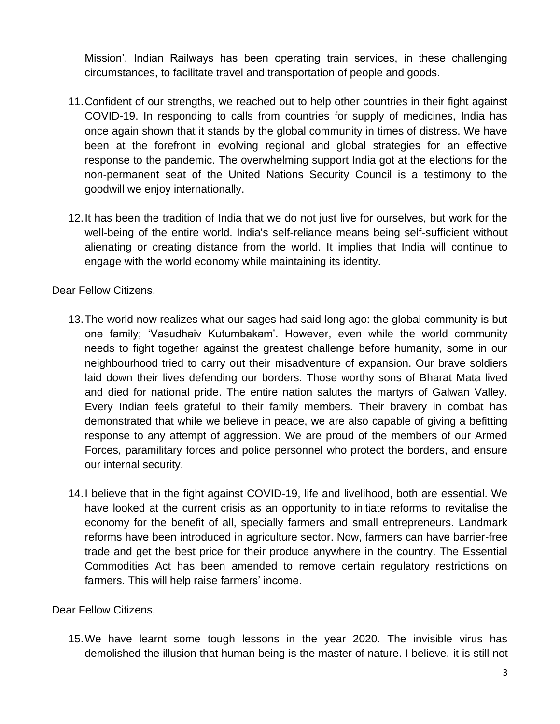Mission'. Indian Railways has been operating train services, in these challenging circumstances, to facilitate travel and transportation of people and goods.

- 11.Confident of our strengths, we reached out to help other countries in their fight against COVID-19. In responding to calls from countries for supply of medicines, India has once again shown that it stands by the global community in times of distress. We have been at the forefront in evolving regional and global strategies for an effective response to the pandemic. The overwhelming support India got at the elections for the non-permanent seat of the United Nations Security Council is a testimony to the goodwill we enjoy internationally.
- 12.It has been the tradition of India that we do not just live for ourselves, but work for the well-being of the entire world. India's self-reliance means being self-sufficient without alienating or creating distance from the world. It implies that India will continue to engage with the world economy while maintaining its identity.

Dear Fellow Citizens,

- 13.The world now realizes what our sages had said long ago: the global community is but one family; 'Vasudhaiv Kutumbakam'. However, even while the world community needs to fight together against the greatest challenge before humanity, some in our neighbourhood tried to carry out their misadventure of expansion. Our brave soldiers laid down their lives defending our borders. Those worthy sons of Bharat Mata lived and died for national pride. The entire nation salutes the martyrs of Galwan Valley. Every Indian feels grateful to their family members. Their bravery in combat has demonstrated that while we believe in peace, we are also capable of giving a befitting response to any attempt of aggression. We are proud of the members of our Armed Forces, paramilitary forces and police personnel who protect the borders, and ensure our internal security.
- 14.I believe that in the fight against COVID-19, life and livelihood, both are essential. We have looked at the current crisis as an opportunity to initiate reforms to revitalise the economy for the benefit of all, specially farmers and small entrepreneurs. Landmark reforms have been introduced in agriculture sector. Now, farmers can have barrier-free trade and get the best price for their produce anywhere in the country. The Essential Commodities Act has been amended to remove certain regulatory restrictions on farmers. This will help raise farmers' income.

Dear Fellow Citizens,

15.We have learnt some tough lessons in the year 2020. The invisible virus has demolished the illusion that human being is the master of nature. I believe, it is still not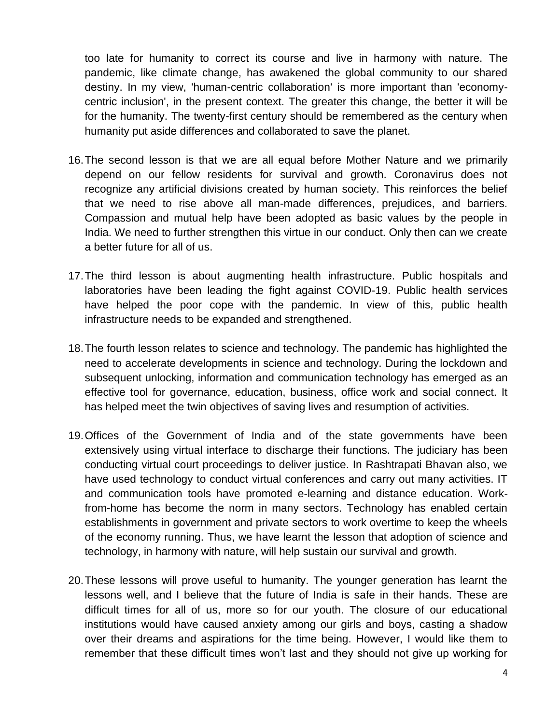too late for humanity to correct its course and live in harmony with nature. The pandemic, like climate change, has awakened the global community to our shared destiny. In my view, 'human-centric collaboration' is more important than 'economycentric inclusion', in the present context. The greater this change, the better it will be for the humanity. The twenty-first century should be remembered as the century when humanity put aside differences and collaborated to save the planet.

- 16.The second lesson is that we are all equal before Mother Nature and we primarily depend on our fellow residents for survival and growth. Coronavirus does not recognize any artificial divisions created by human society. This reinforces the belief that we need to rise above all man-made differences, prejudices, and barriers. Compassion and mutual help have been adopted as basic values by the people in India. We need to further strengthen this virtue in our conduct. Only then can we create a better future for all of us.
- 17.The third lesson is about augmenting health infrastructure. Public hospitals and laboratories have been leading the fight against COVID-19. Public health services have helped the poor cope with the pandemic. In view of this, public health infrastructure needs to be expanded and strengthened.
- 18.The fourth lesson relates to science and technology. The pandemic has highlighted the need to accelerate developments in science and technology. During the lockdown and subsequent unlocking, information and communication technology has emerged as an effective tool for governance, education, business, office work and social connect. It has helped meet the twin objectives of saving lives and resumption of activities.
- 19.Offices of the Government of India and of the state governments have been extensively using virtual interface to discharge their functions. The judiciary has been conducting virtual court proceedings to deliver justice. In Rashtrapati Bhavan also, we have used technology to conduct virtual conferences and carry out many activities. IT and communication tools have promoted e-learning and distance education. Workfrom-home has become the norm in many sectors. Technology has enabled certain establishments in government and private sectors to work overtime to keep the wheels of the economy running. Thus, we have learnt the lesson that adoption of science and technology, in harmony with nature, will help sustain our survival and growth.
- 20.These lessons will prove useful to humanity. The younger generation has learnt the lessons well, and I believe that the future of India is safe in their hands. These are difficult times for all of us, more so for our youth. The closure of our educational institutions would have caused anxiety among our girls and boys, casting a shadow over their dreams and aspirations for the time being. However, I would like them to remember that these difficult times won't last and they should not give up working for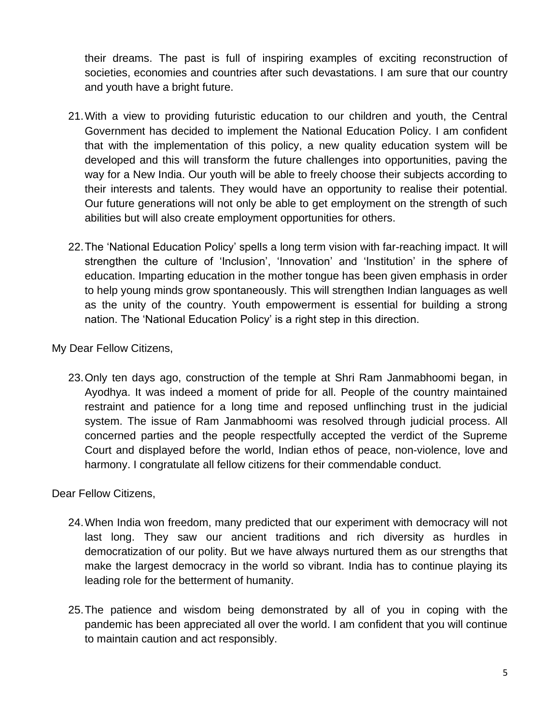their dreams. The past is full of inspiring examples of exciting reconstruction of societies, economies and countries after such devastations. I am sure that our country and youth have a bright future.

- 21.With a view to providing futuristic education to our children and youth, the Central Government has decided to implement the National Education Policy. I am confident that with the implementation of this policy, a new quality education system will be developed and this will transform the future challenges into opportunities, paving the way for a New India. Our youth will be able to freely choose their subjects according to their interests and talents. They would have an opportunity to realise their potential. Our future generations will not only be able to get employment on the strength of such abilities but will also create employment opportunities for others.
- 22.The 'National Education Policy' spells a long term vision with far-reaching impact. It will strengthen the culture of 'Inclusion', 'Innovation' and 'Institution' in the sphere of education. Imparting education in the mother tongue has been given emphasis in order to help young minds grow spontaneously. This will strengthen Indian languages as well as the unity of the country. Youth empowerment is essential for building a strong nation. The 'National Education Policy' is a right step in this direction.

My Dear Fellow Citizens,

23.Only ten days ago, construction of the temple at Shri Ram Janmabhoomi began, in Ayodhya. It was indeed a moment of pride for all. People of the country maintained restraint and patience for a long time and reposed unflinching trust in the judicial system. The issue of Ram Janmabhoomi was resolved through judicial process. All concerned parties and the people respectfully accepted the verdict of the Supreme Court and displayed before the world, Indian ethos of peace, non-violence, love and harmony. I congratulate all fellow citizens for their commendable conduct.

Dear Fellow Citizens,

- 24.When India won freedom, many predicted that our experiment with democracy will not last long. They saw our ancient traditions and rich diversity as hurdles in democratization of our polity. But we have always nurtured them as our strengths that make the largest democracy in the world so vibrant. India has to continue playing its leading role for the betterment of humanity.
- 25.The patience and wisdom being demonstrated by all of you in coping with the pandemic has been appreciated all over the world. I am confident that you will continue to maintain caution and act responsibly.